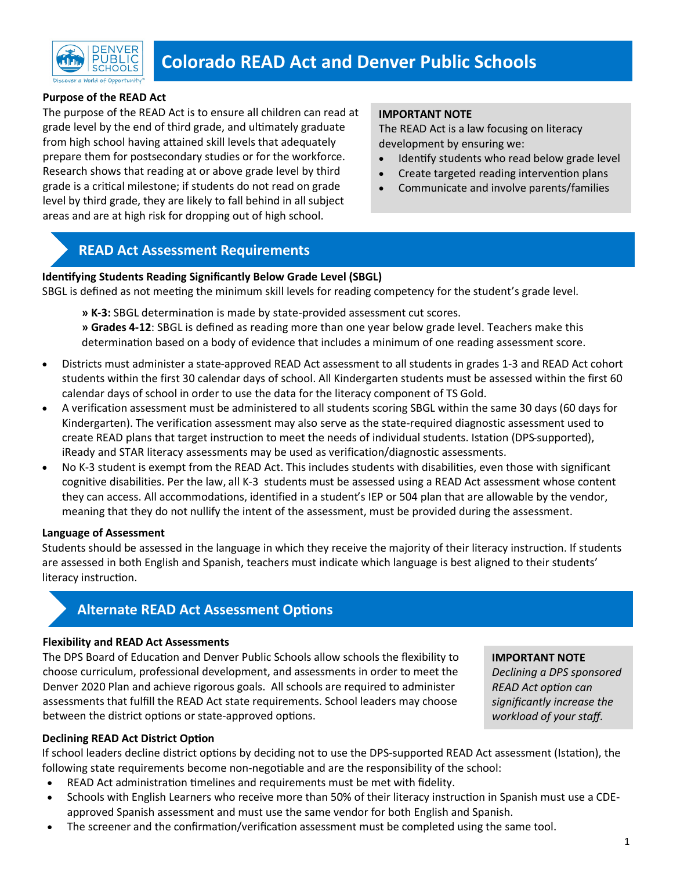

# **Colorado READ Act and Denver Public Schools**

#### **Purpose of the READ Act**

The purpose of the READ Act is to ensure all children can read at grade level by the end of third grade, and ultimately graduate from high school having attained skill levels that adequately prepare them for postsecondary studies or for the workforce. Research shows that reading at or above grade level by third grade is a critical milestone; if students do not read on grade level by third grade, they are likely to fall behind in all subject areas and are at high risk for dropping out of high school.

#### **IMPORTANT NOTE**

The READ Act is a law focusing on literacy development by ensuring we:

- Identify students who read below grade level
- Create targeted reading intervention plans
- Communicate and involve parents/families

### **READ Act Assessment Requirements**

#### **Identifying Students Reading Significantly Below Grade Level (SBGL)**

SBGL is defined as not meeting the minimum skill levels for reading competency for the student's grade level.

**» K-3:** SBGL determination is made by state-provided assessment cut scores. **» Grades 4-12**: SBGL is defined as reading more than one year below grade level. Teachers make this determination based on a body of evidence that includes a minimum of one reading assessment score.

- Districts must administer a state-approved READ Act assessment to all students in grades 1-3 and READ Act cohort students within the first 30 calendar days of school. All Kindergarten students must be assessed within the first 60 calendar days of school in order to use the data for the literacy component of TS Gold.
- A verification assessment must be administered to all students scoring SBGL within the same 30 days (60 days for Kindergarten). The verification assessment may also serve as the state-required diagnostic assessment used to create READ plans that target instruction to meet the needs of individual students. Istation (DPS-supported), iReady and STAR literacy assessments may be used as verification/diagnostic assessments.
- No K-3 student is exempt from the READ Act. This includes students with disabilities, even those with significant cognitive disabilities. Per the law, all K-3 students must be assessed using a READ Act assessment whose content they can access. All accommodations, identified in a student's IEP or 504 plan that are allowable by the vendor, meaning that they do not nullify the intent of the assessment, must be provided during the assessment.

#### **Language of Assessment**

Students should be assessed in the language in which they receive the majority of their literacy instruction. If students are assessed in both English and Spanish, teachers must indicate which language is best aligned to their students' literacy instruction.

## **Alternate READ Act Assessment Options**

#### **Flexibility and READ Act Assessments**

The DPS Board of Education and Denver Public Schools allow schools the flexibility to choose curriculum, professional development, and assessments in order to meet the Denver 2020 Plan and achieve rigorous goals. All schools are required to administer assessments that fulfill the READ Act state requirements. School leaders may choose between the district options or state-approved options.

#### **IMPORTANT NOTE**

*Declining a DPS sponsored READ Act option can significantly increase the workload of your staff.*

#### **Declining READ Act District Option**

If school leaders decline district options by deciding not to use the DPS-supported READ Act assessment (Istation), the following state requirements become non-negotiable and are the responsibility of the school:

- READ Act administration timelines and requirements must be met with fidelity.
- Schools with English Learners who receive more than 50% of their literacy instruction in Spanish must use a CDEapproved Spanish assessment and must use the same vendor for both English and Spanish.
- The screener and the confirmation/verification assessment must be completed using the same tool.